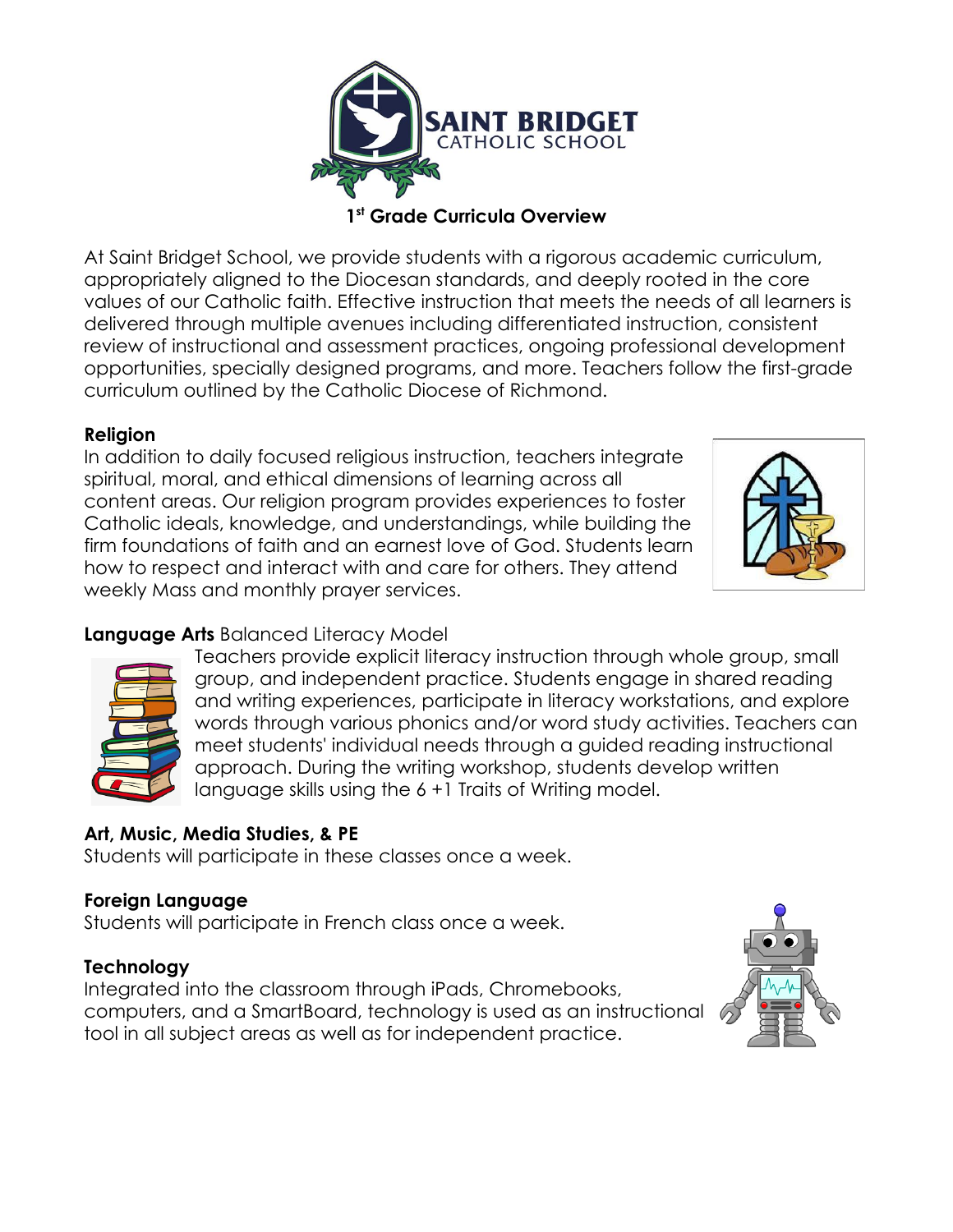

#### **1 st Grade Curricula Overview**

At Saint Bridget School, we provide students with a rigorous academic curriculum, appropriately aligned to the Diocesan standards, and deeply rooted in the core values of our Catholic faith. Effective instruction that meets the needs of all learners is delivered through multiple avenues including differentiated instruction, consistent review of instructional and assessment practices, ongoing professional development opportunities, specially designed programs, and more. Teachers follow the first-grade curriculum outlined by the Catholic Diocese of Richmond.

### **Religion**

In addition to daily focused religious instruction, teachers integrate spiritual, moral, and ethical dimensions of learning across all content areas. Our religion program provides experiences to foster Catholic ideals, knowledge, and understandings, while building the firm foundations of faith and an earnest love of God. Students learn how to respect and interact with and care for others. They attend weekly Mass and monthly prayer services.



## **Language Arts** Balanced Literacy Model



Teachers provide explicit literacy instruction through whole group, small group, and independent practice. Students engage in shared reading and writing experiences, participate in literacy workstations, and explore words through various phonics and/or word study activities. Teachers can meet students' individual needs through a guided reading instructional approach. During the writing workshop, students develop written language skills using the 6 +1 Traits of Writing model.

## **Art, Music, Media Studies, & PE**

Students will participate in these classes once a week.

#### **Foreign Language**

Students will participate in French class once a week.

#### **Technology**

Integrated into the classroom through iPads, Chromebooks, computers, and a SmartBoard, technology is used as an instructional tool in all subject areas as well as for independent practice.